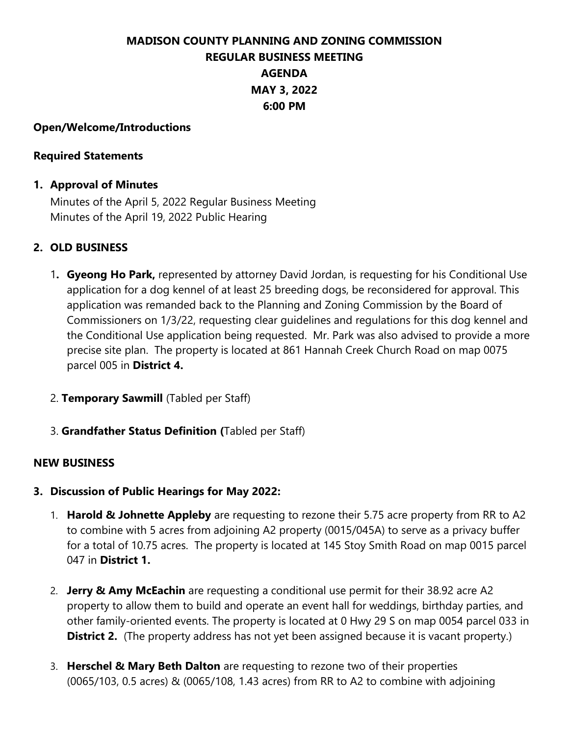# **MADISON COUNTY PLANNING AND ZONING COMMISSION REGULAR BUSINESS MEETING AGENDA MAY 3, 2022 6:00 PM**

#### **Open/Welcome/Introductions**

#### **Required Statements**

## **1. Approval of Minutes**

Minutes of the April 5, 2022 Regular Business Meeting Minutes of the April 19, 2022 Public Hearing

# **2. OLD BUSINESS**

- 1**. Gyeong Ho Park,** represented by attorney David Jordan, is requesting for his Conditional Use application for a dog kennel of at least 25 breeding dogs, be reconsidered for approval. This application was remanded back to the Planning and Zoning Commission by the Board of Commissioners on 1/3/22, requesting clear guidelines and regulations for this dog kennel and the Conditional Use application being requested. Mr. Park was also advised to provide a more precise site plan. The property is located at 861 Hannah Creek Church Road on map 0075 parcel 005 in **District 4.**
- 2. **Temporary Sawmill** (Tabled per Staff)
- 3. **Grandfather Status Definition (**Tabled per Staff)

## **NEW BUSINESS**

## **3. Discussion of Public Hearings for May 2022:**

- 1. **Harold & Johnette Appleby** are requesting to rezone their 5.75 acre property from RR to A2 to combine with 5 acres from adjoining A2 property (0015/045A) to serve as a privacy buffer for a total of 10.75 acres. The property is located at 145 Stoy Smith Road on map 0015 parcel 047 in **District 1.**
- 2. **Jerry & Amy McEachin** are requesting a conditional use permit for their 38.92 acre A2 property to allow them to build and operate an event hall for weddings, birthday parties, and other family-oriented events. The property is located at 0 Hwy 29 S on map 0054 parcel 033 in **District 2.** (The property address has not yet been assigned because it is vacant property.)
- 3. **Herschel & Mary Beth Dalton** are requesting to rezone two of their properties (0065/103, 0.5 acres) & (0065/108, 1.43 acres) from RR to A2 to combine with adjoining